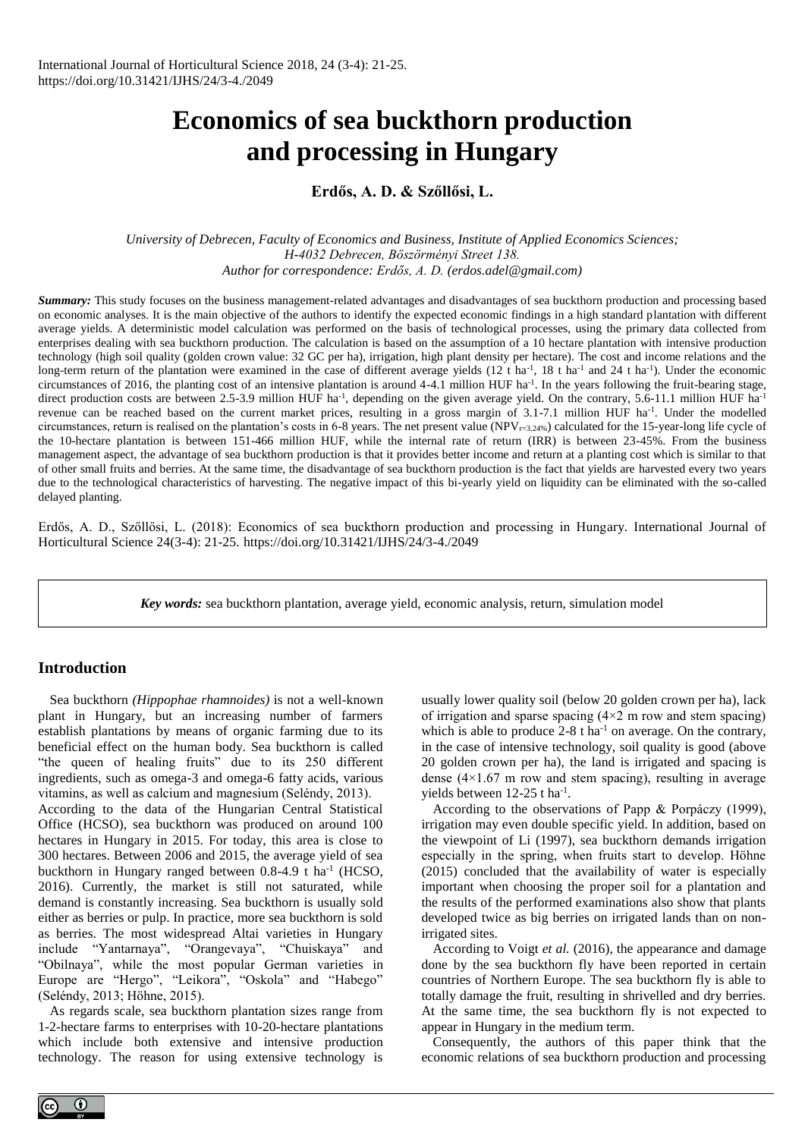# **Economics of sea buckthorn production and processing in Hungary**

## **Erdős, A. D. & Szőllősi, L.**

*University of Debrecen, Faculty of Economics and Business, Institute of Applied Economics Sciences; H-4032 Debrecen, Böszörményi Street 138. Author for correspondence: Erdős, A. D. (erdos.adel@gmail.com)*

*Summary:* This study focuses on the business management-related advantages and disadvantages of sea buckthorn production and processing based on economic analyses. It is the main objective of the authors to identify the expected economic findings in a high standard plantation with different average yields. A deterministic model calculation was performed on the basis of technological processes, using the primary data collected from enterprises dealing with sea buckthorn production. The calculation is based on the assumption of a 10 hectare plantation with intensive production technology (high soil quality (golden crown value: 32 GC per ha), irrigation, high plant density per hectare). The cost and income relations and the long-term return of the plantation were examined in the case of different average yields  $(12 \text{ t} \text{ ha}^{-1}, 18 \text{ t} \text{ ha}^{-1})$  and 24 t ha<sup>-1</sup>). Under the economic circumstances of 2016, the planting cost of an intensive plantation is around  $4-4.1$  million HUF ha<sup>-1</sup>. In the years following the fruit-bearing stage, direct production costs are between 2.5-3.9 million HUF ha<sup>-1</sup>, depending on the given average yield. On the contrary, 5.6-11.1 million HUF ha<sup>-1</sup> revenue can be reached based on the current market prices, resulting in a gross margin of 3.1-7.1 million HUF ha<sup>-1</sup>. Under the modelled circumstances, return is realised on the plantation's costs in 6-8 years. The net present value (NPV $_{r=3.24\%}$ ) calculated for the 15-year-long life cycle of the 10-hectare plantation is between 151-466 million HUF, while the internal rate of return (IRR) is between 23-45%. From the business management aspect, the advantage of sea buckthorn production is that it provides better income and return at a planting cost which is similar to that of other small fruits and berries. At the same time, the disadvantage of sea buckthorn production is the fact that yields are harvested every two years due to the technological characteristics of harvesting. The negative impact of this bi-yearly yield on liquidity can be eliminated with the so-called delayed planting.

Erdős, A. D., Szőllősi, L. (2018): Economics of sea buckthorn production and processing in Hungary. International Journal of Horticultural Science 24(3-4): 21-25. https://doi.org/10.31421/IJHS/24/3-4./2049

*Key words:* sea buckthorn plantation, average yield, economic analysis, return, simulation model

#### **Introduction**

Sea buckthorn *(Hippophae rhamnoides)* is not a well-known plant in Hungary, but an increasing number of farmers establish plantations by means of organic farming due to its beneficial effect on the human body. Sea buckthorn is called "the queen of healing fruits" due to its 250 different ingredients, such as omega-3 and omega-6 fatty acids, various vitamins, as well as calcium and magnesium (Seléndy, 2013).

According to the data of the Hungarian Central Statistical Office (HCSO), sea buckthorn was produced on around 100 hectares in Hungary in 2015. For today, this area is close to 300 hectares. Between 2006 and 2015, the average yield of sea buckthorn in Hungary ranged between 0.8-4.9 t ha<sup>-1</sup> (HCSO, 2016). Currently, the market is still not saturated, while demand is constantly increasing. Sea buckthorn is usually sold either as berries or pulp. In practice, more sea buckthorn is sold as berries. The most widespread Altai varieties in Hungary include "Yantarnaya", "Orangevaya", "Chuiskaya" and "Obilnaya", while the most popular German varieties in Europe are "Hergo", "Leikora", "Oskola" and "Habego" (Seléndy, 2013; Höhne, 2015).

As regards scale, sea buckthorn plantation sizes range from 1-2-hectare farms to enterprises with 10-20-hectare plantations which include both extensive and intensive production technology. The reason for using extensive technology is usually lower quality soil (below 20 golden crown per ha), lack of irrigation and sparse spacing  $(4\times2 \text{ m}$  row and stem spacing) which is able to produce  $2-8$  t ha<sup>-1</sup> on average. On the contrary, in the case of intensive technology, soil quality is good (above 20 golden crown per ha), the land is irrigated and spacing is dense  $(4\times1.67$  m row and stem spacing), resulting in average yields between  $12-25$  t ha<sup>-1</sup>.

According to the observations of Papp & Porpáczy (1999), irrigation may even double specific yield. In addition, based on the viewpoint of Li (1997), sea buckthorn demands irrigation especially in the spring, when fruits start to develop. Höhne (2015) concluded that the availability of water is especially important when choosing the proper soil for a plantation and the results of the performed examinations also show that plants developed twice as big berries on irrigated lands than on nonirrigated sites.

According to Voigt *et al.* (2016), the appearance and damage done by the sea buckthorn fly have been reported in certain countries of Northern Europe. The sea buckthorn fly is able to totally damage the fruit, resulting in shrivelled and dry berries. At the same time, the sea buckthorn fly is not expected to appear in Hungary in the medium term.

Consequently, the authors of this paper think that the economic relations of sea buckthorn production and processing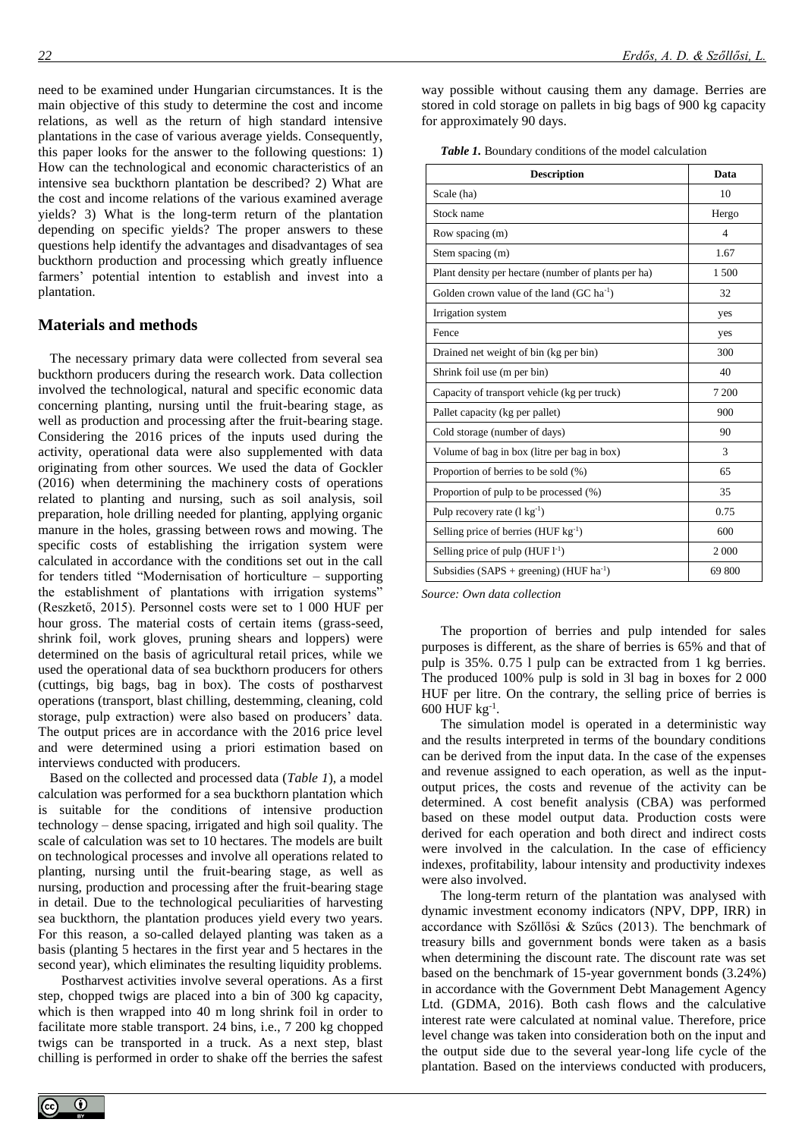need to be examined under Hungarian circumstances. It is the main objective of this study to determine the cost and income relations, as well as the return of high standard intensive plantations in the case of various average yields. Consequently, this paper looks for the answer to the following questions: 1) How can the technological and economic characteristics of an intensive sea buckthorn plantation be described? 2) What are the cost and income relations of the various examined average yields? 3) What is the long-term return of the plantation depending on specific yields? The proper answers to these questions help identify the advantages and disadvantages of sea buckthorn production and processing which greatly influence farmers' potential intention to establish and invest into a plantation.

#### **Materials and methods**

The necessary primary data were collected from several sea buckthorn producers during the research work. Data collection involved the technological, natural and specific economic data concerning planting, nursing until the fruit-bearing stage, as well as production and processing after the fruit-bearing stage. Considering the 2016 prices of the inputs used during the activity, operational data were also supplemented with data originating from other sources. We used the data of Gockler (2016) when determining the machinery costs of operations related to planting and nursing, such as soil analysis, soil preparation, hole drilling needed for planting, applying organic manure in the holes, grassing between rows and mowing. The specific costs of establishing the irrigation system were calculated in accordance with the conditions set out in the call for tenders titled "Modernisation of horticulture – supporting the establishment of plantations with irrigation systems" (Reszkető, 2015). Personnel costs were set to 1 000 HUF per hour gross. The material costs of certain items (grass-seed, shrink foil, work gloves, pruning shears and loppers) were determined on the basis of agricultural retail prices, while we used the operational data of sea buckthorn producers for others (cuttings, big bags, bag in box). The costs of postharvest operations (transport, blast chilling, destemming, cleaning, cold storage, pulp extraction) were also based on producers' data. The output prices are in accordance with the 2016 price level and were determined using a priori estimation based on interviews conducted with producers.

Based on the collected and processed data (*Table 1*), a model calculation was performed for a sea buckthorn plantation which is suitable for the conditions of intensive production technology – dense spacing, irrigated and high soil quality. The scale of calculation was set to 10 hectares. The models are built on technological processes and involve all operations related to planting, nursing until the fruit-bearing stage, as well as nursing, production and processing after the fruit-bearing stage in detail. Due to the technological peculiarities of harvesting sea buckthorn, the plantation produces yield every two years. For this reason, a so-called delayed planting was taken as a basis (planting 5 hectares in the first year and 5 hectares in the second year), which eliminates the resulting liquidity problems.

Postharvest activities involve several operations. As a first step, chopped twigs are placed into a bin of 300 kg capacity, which is then wrapped into 40 m long shrink foil in order to facilitate more stable transport. 24 bins, i.e., 7 200 kg chopped twigs can be transported in a truck. As a next step, blast chilling is performed in order to shake off the berries the safest way possible without causing them any damage. Berries are stored in cold storage on pallets in big bags of 900 kg capacity for approximately 90 days.

| <b>Description</b>                                  | Data           |
|-----------------------------------------------------|----------------|
| Scale (ha)                                          | 10             |
| Stock name                                          | Hergo          |
| Row spacing (m)                                     | $\overline{4}$ |
| Stem spacing (m)                                    | 1.67           |
| Plant density per hectare (number of plants per ha) | 1500           |
| Golden crown value of the land $(GC \, ha^{-1})$    | 32             |
| Irrigation system                                   | yes            |
| Fence                                               | yes            |
| Drained net weight of bin (kg per bin)              | 300            |
| Shrink foil use (m per bin)                         | 40             |
| Capacity of transport vehicle (kg per truck)        | 7 200          |
| Pallet capacity (kg per pallet)                     | 900            |
| Cold storage (number of days)                       | 90             |
| Volume of bag in box (litre per bag in box)         | 3              |
| Proportion of berries to be sold (%)                | 65             |
| Proportion of pulp to be processed (%)              | 35             |
| Pulp recovery rate $(l \text{ kg}^{-1})$            | 0.75           |
| Selling price of berries (HUF $kg^{-1}$ )           | 600            |
| Selling price of pulp $(HUF 1^{-1})$                | 2 0 0 0        |
| Subsidies $(SAPS + greening) (HUF ha^{-1})$         | 69 800         |

*Source: Own data collection*

The proportion of berries and pulp intended for sales purposes is different, as the share of berries is 65% and that of pulp is 35%. 0.75 l pulp can be extracted from 1 kg berries. The produced 100% pulp is sold in 3l bag in boxes for 2 000 HUF per litre. On the contrary, the selling price of berries is 600 HUF kg-1 .

The simulation model is operated in a deterministic way and the results interpreted in terms of the boundary conditions can be derived from the input data. In the case of the expenses and revenue assigned to each operation, as well as the inputoutput prices, the costs and revenue of the activity can be determined. A cost benefit analysis (CBA) was performed based on these model output data. Production costs were derived for each operation and both direct and indirect costs were involved in the calculation. In the case of efficiency indexes, profitability, labour intensity and productivity indexes were also involved.

The long-term return of the plantation was analysed with dynamic investment economy indicators (NPV, DPP, IRR) in accordance with Szőllősi & Szűcs (2013). The benchmark of treasury bills and government bonds were taken as a basis when determining the discount rate. The discount rate was set based on the benchmark of 15-year government bonds (3.24%) in accordance with the Government Debt Management Agency Ltd. (GDMA, 2016). Both cash flows and the calculative interest rate were calculated at nominal value. Therefore, price level change was taken into consideration both on the input and the output side due to the several year-long life cycle of the plantation. Based on the interviews conducted with producers,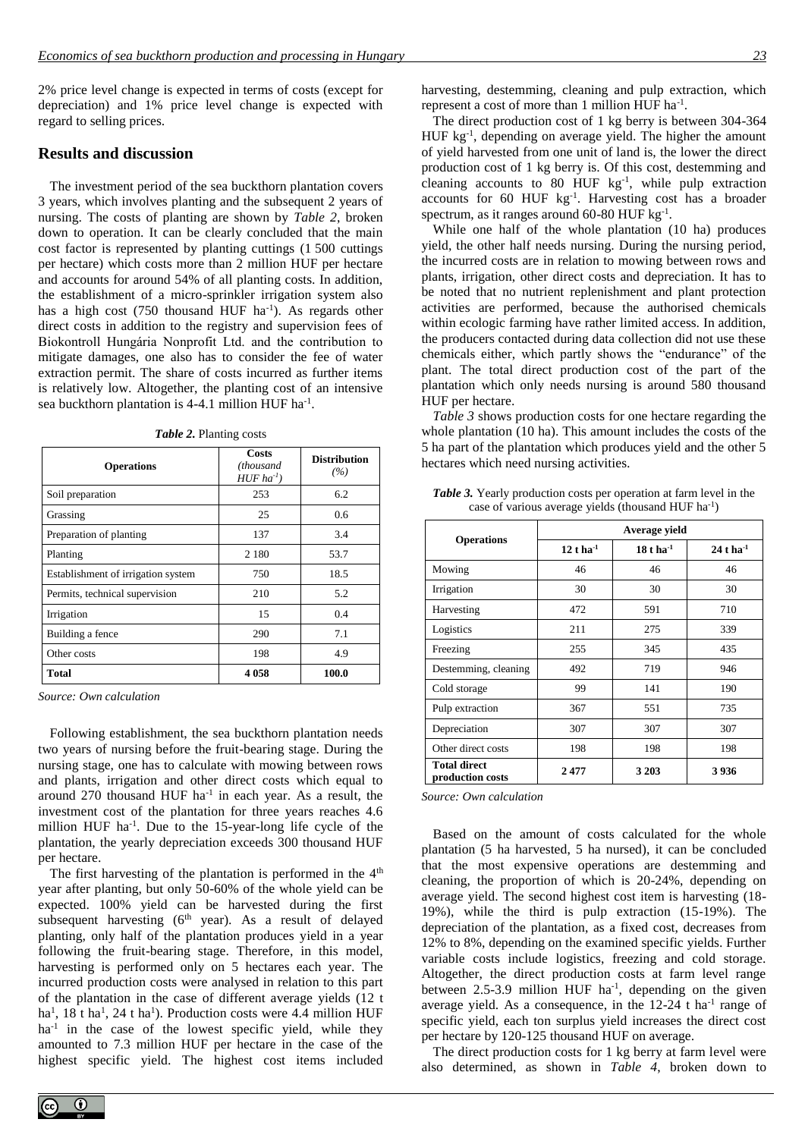2% price level change is expected in terms of costs (except for depreciation) and 1% price level change is expected with regard to selling prices.

### **Results and discussion**

The investment period of the sea buckthorn plantation covers 3 years, which involves planting and the subsequent 2 years of nursing. The costs of planting are shown by *Table 2*, broken down to operation. It can be clearly concluded that the main cost factor is represented by planting cuttings (1 500 cuttings per hectare) which costs more than 2 million HUF per hectare and accounts for around 54% of all planting costs. In addition, the establishment of a micro-sprinkler irrigation system also has a high cost (750 thousand HUF ha<sup>-1</sup>). As regards other direct costs in addition to the registry and supervision fees of Biokontroll Hungária Nonprofit Ltd. and the contribution to mitigate damages, one also has to consider the fee of water extraction permit. The share of costs incurred as further items is relatively low. Altogether, the planting cost of an intensive sea buckthorn plantation is 4-4.1 million HUF ha<sup>-1</sup>.

| <b>Operations</b>                  | Costs<br>(thousand<br>$HUF$ ha <sup>-1</sup> ) | <b>Distribution</b><br>(%) |  |
|------------------------------------|------------------------------------------------|----------------------------|--|
| Soil preparation                   | 253                                            | 6.2                        |  |
| Grassing                           | 25                                             | 0.6                        |  |
| Preparation of planting            | 137                                            | 3.4                        |  |
| Planting                           | 2 1 8 0                                        | 53.7                       |  |
| Establishment of irrigation system | 750                                            | 18.5                       |  |
| Permits, technical supervision     | 210                                            | 5.2                        |  |
| Irrigation                         | 15                                             | 0.4                        |  |
| Building a fence                   | 290                                            | 7.1                        |  |
| Other costs                        | 198                                            | 4.9                        |  |
| Total                              | 4058                                           | 100.0                      |  |

*Table 2.* Planting costs

*Source: Own calculation*

Following establishment, the sea buckthorn plantation needs two years of nursing before the fruit-bearing stage. During the nursing stage, one has to calculate with mowing between rows and plants, irrigation and other direct costs which equal to around  $270$  thousand HUF ha<sup>-1</sup> in each year. As a result, the investment cost of the plantation for three years reaches 4.6 million HUF ha<sup>-1</sup>. Due to the 15-year-long life cycle of the plantation, the yearly depreciation exceeds 300 thousand HUF per hectare.

The first harvesting of the plantation is performed in the  $4<sup>th</sup>$ year after planting, but only 50-60% of the whole yield can be expected. 100% yield can be harvested during the first subsequent harvesting (6<sup>th</sup> year). As a result of delayed planting, only half of the plantation produces yield in a year following the fruit-bearing stage. Therefore, in this model, harvesting is performed only on 5 hectares each year. The incurred production costs were analysed in relation to this part of the plantation in the case of different average yields (12 t ha<sup>1</sup>, 18 t ha<sup>1</sup>, 24 t ha<sup>1</sup>). Production costs were 4.4 million HUF ha<sup>-1</sup> in the case of the lowest specific yield, while they amounted to 7.3 million HUF per hectare in the case of the highest specific yield. The highest cost items included harvesting, destemming, cleaning and pulp extraction, which represent a cost of more than 1 million HUF ha<sup>-1</sup>.

The direct production cost of 1 kg berry is between 304-364 HUF kg<sup>-1</sup>, depending on average yield. The higher the amount of yield harvested from one unit of land is, the lower the direct production cost of 1 kg berry is. Of this cost, destemming and cleaning accounts to 80 HUF  $kg^{-1}$ , while pulp extraction accounts for 60 HUF kg-1 . Harvesting cost has a broader spectrum, as it ranges around  $60-80$  HUF  $kg^{-1}$ .

While one half of the whole plantation (10 ha) produces yield, the other half needs nursing. During the nursing period, the incurred costs are in relation to mowing between rows and plants, irrigation, other direct costs and depreciation. It has to be noted that no nutrient replenishment and plant protection activities are performed, because the authorised chemicals within ecologic farming have rather limited access. In addition, the producers contacted during data collection did not use these chemicals either, which partly shows the "endurance" of the plant. The total direct production cost of the part of the plantation which only needs nursing is around 580 thousand HUF per hectare.

*Table 3* shows production costs for one hectare regarding the whole plantation (10 ha). This amount includes the costs of the 5 ha part of the plantation which produces yield and the other 5 hectares which need nursing activities*.*

| <b>Table 3.</b> Yearly production costs per operation at farm level in the |
|----------------------------------------------------------------------------|
| case of various average yields (thousand HUF ha <sup>-1</sup> )            |

|                                         | Average yield           |                       |                         |  |
|-----------------------------------------|-------------------------|-----------------------|-------------------------|--|
| <b>Operations</b>                       | $12$ t ha <sup>-1</sup> | $18t \, \rm{ha}^{-1}$ | $24$ t ha <sup>-1</sup> |  |
| Mowing                                  | 46                      | 46                    | 46                      |  |
| Irrigation                              | 30                      | 30                    | 30                      |  |
| Harvesting                              | 472                     | 591                   | 710                     |  |
| Logistics                               | 211                     | 275                   | 339                     |  |
| Freezing                                | 255                     | 345                   | 435                     |  |
| Destemming, cleaning                    | 492                     | 719                   | 946                     |  |
| Cold storage                            | 99                      | 141                   | 190                     |  |
| Pulp extraction                         | 367                     | 551                   | 735                     |  |
| Depreciation                            | 307                     | 307                   | 307                     |  |
| Other direct costs                      | 198                     | 198                   | 198                     |  |
| <b>Total direct</b><br>production costs | 2477                    | 3 2 0 3               | 3936                    |  |

*Source: Own calculation*

Based on the amount of costs calculated for the whole plantation (5 ha harvested, 5 ha nursed), it can be concluded that the most expensive operations are destemming and cleaning, the proportion of which is 20-24%, depending on average yield. The second highest cost item is harvesting (18- 19%), while the third is pulp extraction (15-19%). The depreciation of the plantation, as a fixed cost, decreases from 12% to 8%, depending on the examined specific yields. Further variable costs include logistics, freezing and cold storage. Altogether, the direct production costs at farm level range between  $2.5 - 3.9$  million HUF ha<sup>-1</sup>, depending on the given average yield. As a consequence, in the 12-24 t ha<sup>-1</sup> range of specific yield, each ton surplus yield increases the direct cost per hectare by 120-125 thousand HUF on average.

The direct production costs for 1 kg berry at farm level were also determined, as shown in *Table 4*, broken down to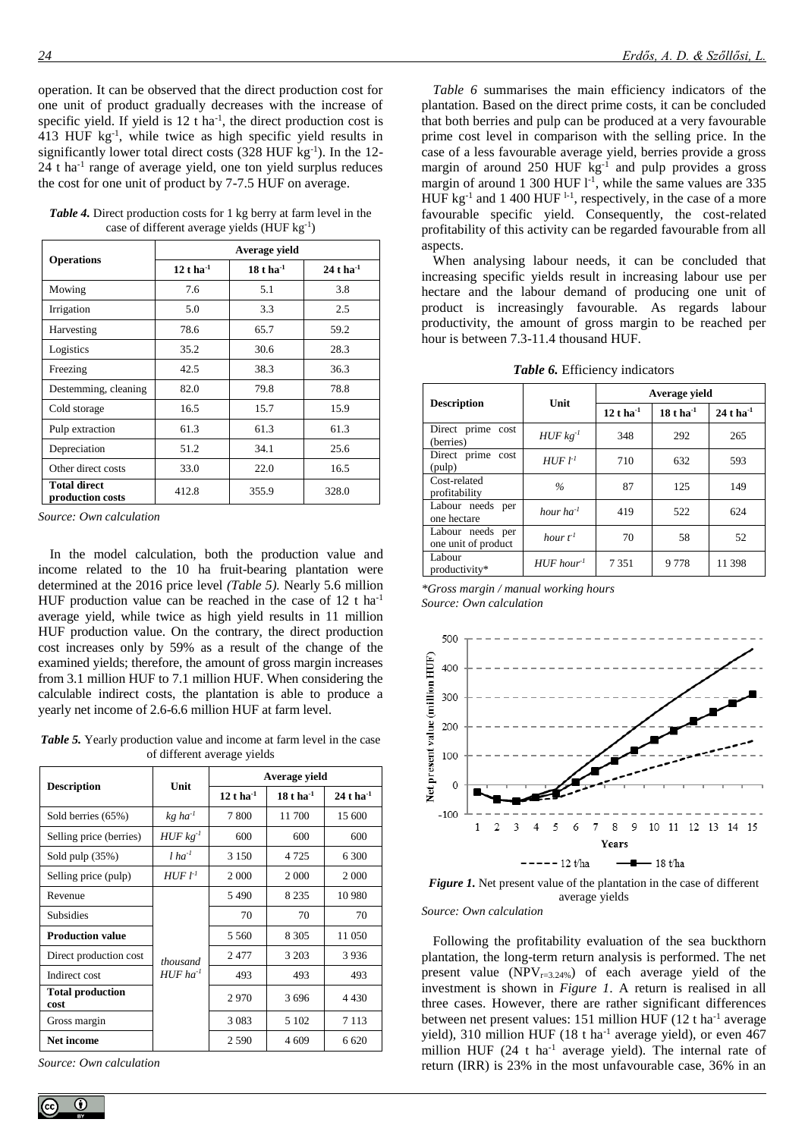operation. It can be observed that the direct production cost for one unit of product gradually decreases with the increase of specific yield. If yield is  $12$  t ha<sup>-1</sup>, the direct production cost is  $413$  HUF  $\text{kg}^{-1}$ , while twice as high specific yield results in significantly lower total direct costs (328 HUF kg<sup>-1</sup>). In the 12-24 t ha<sup>-1</sup> range of average yield, one ton yield surplus reduces the cost for one unit of product by 7-7.5 HUF on average.

*Table 4.* Direct production costs for 1 kg berry at farm level in the case of different average yields (HUF kg-1)

|                                         | Average yield                                     |       |                         |  |
|-----------------------------------------|---------------------------------------------------|-------|-------------------------|--|
| <b>Operations</b>                       | $12$ t ha <sup>-1</sup><br>$18t$ ha <sup>-1</sup> |       | $24$ t ha <sup>-1</sup> |  |
| Mowing                                  | 7.6                                               | 5.1   | 3.8                     |  |
| Irrigation                              | 5.0                                               | 3.3   | 2.5                     |  |
| Harvesting                              | 78.6                                              | 65.7  | 59.2                    |  |
| Logistics                               | 35.2                                              | 30.6  | 28.3                    |  |
| Freezing                                | 42.5                                              | 38.3  | 36.3                    |  |
| Destemming, cleaning                    | 82.0                                              | 79.8  | 78.8                    |  |
| Cold storage                            | 16.5                                              | 15.7  | 15.9                    |  |
| Pulp extraction                         | 61.3                                              | 61.3  | 61.3                    |  |
| Depreciation                            | 51.2                                              | 34.1  | 25.6                    |  |
| Other direct costs                      | 33.0                                              | 22.0  | 16.5                    |  |
| <b>Total direct</b><br>production costs | 412.8                                             | 355.9 | 328.0                   |  |

*Source: Own calculation*

In the model calculation, both the production value and income related to the 10 ha fruit-bearing plantation were determined at the 2016 price level *(Table 5).* Nearly 5.6 million HUF production value can be reached in the case of  $12$  t ha<sup>-1</sup> average yield, while twice as high yield results in 11 million HUF production value. On the contrary, the direct production cost increases only by 59% as a result of the change of the examined yields; therefore, the amount of gross margin increases from 3.1 million HUF to 7.1 million HUF. When considering the calculable indirect costs, the plantation is able to produce a yearly net income of 2.6-6.6 million HUF at farm level.

*Table 5.* Yearly production value and income at farm level in the case of different average yields

| <b>Description</b>              | Unit                               | Average yield           |                       |                         |  |
|---------------------------------|------------------------------------|-------------------------|-----------------------|-------------------------|--|
|                                 |                                    | $12$ t ha <sup>-1</sup> | $18t \, \rm{ha}^{-1}$ | $24$ t ha <sup>-1</sup> |  |
| Sold berries (65%)              | $kg$ ha <sup>-1</sup>              | 7800                    | 11700                 | 15 600                  |  |
| Selling price (berries)         | $HUF$ $kg^{-1}$                    | 600                     | 600                   | 600                     |  |
| Sold pulp $(35%)$               | $l$ ha <sup>-1</sup>               | 3 1 5 0                 | 4 7 2 5               | 6 300                   |  |
| Selling price (pulp)            | $HUFl-1$                           | 2 0 0 0                 | 2 0 0 0               | 2 0 0 0                 |  |
| Revenue                         | thousand<br>$HUF$ ha <sup>-1</sup> | 5490                    | 8 2 3 5               | 10 980                  |  |
| <b>Subsidies</b>                |                                    | 70                      | 70                    | 70                      |  |
| <b>Production value</b>         |                                    | 5 5 6 0                 | 8 3 0 5               | 11 050                  |  |
| Direct production cost          |                                    | 2477                    | 3 2 0 3               | 3936                    |  |
| Indirect cost                   |                                    | 493                     | 493                   | 493                     |  |
| <b>Total production</b><br>cost |                                    | 2970                    | 3696                  | 4 4 3 0                 |  |
| Gross margin                    |                                    | 3 0 8 3                 | 5 1 0 2               | 7 1 1 3                 |  |
| Net income                      |                                    | 2 5 9 0                 | 4 609                 | 6 6 20                  |  |

*Source: Own calculation*

*Table 6* summarises the main efficiency indicators of the plantation. Based on the direct prime costs, it can be concluded that both berries and pulp can be produced at a very favourable prime cost level in comparison with the selling price. In the case of a less favourable average yield, berries provide a gross margin of around 250 HUF kg<sup>-1</sup> and pulp provides a gross margin of around 1 300 HUF  $l$ <sup>-1</sup>, while the same values are 335 HUF  $kg^{-1}$  and 1 400 HUF  $^{1-1}$ , respectively, in the case of a more favourable specific yield. Consequently, the cost-related profitability of this activity can be regarded favourable from all aspects.

When analysing labour needs, it can be concluded that increasing specific yields result in increasing labour use per hectare and the labour demand of producing one unit of product is increasingly favourable. As regards labour productivity, the amount of gross margin to be reached per hour is between 7.3-11.4 thousand HUF.

*Table 6.* Efficiency indicators

| <b>Description</b>                      | Unit                    | Average yield     |                        |                   |
|-----------------------------------------|-------------------------|-------------------|------------------------|-------------------|
|                                         |                         | $12$ t ha $^{-1}$ | $18t$ ha <sup>-1</sup> | $24$ t ha $^{-1}$ |
| Direct prime cost<br>(berries)          | $HUF$ $kg^{-1}$         | 348               | 292                    | 265               |
| Direct prime cost<br>(pulp)             | $HUF$ $l-1$             | 710               | 632                    | 593               |
| Cost-related<br>profitability           | $\frac{0}{6}$           | 87                | 125                    | 149               |
| Labour needs per<br>one hectare         | hour $ha^{-1}$          | 419               | 522                    | 624               |
| Labour needs per<br>one unit of product | hour $f^I$              | 70                | 58                     | 52                |
| Labour<br>productivity*                 | $HUF$ hour <sup>1</sup> | 7 3 5 1           | 9778                   | 11 398            |

#### *\*Gross margin / manual working hours Source: Own calculation*





*Source: Own calculation*

Following the profitability evaluation of the sea buckthorn plantation, the long-term return analysis is performed. The net present value (NPV $_{r=3.24\%}$ ) of each average yield of the investment is shown in *Figure 1*. A return is realised in all three cases. However, there are rather significant differences between net present values: 151 million HUF (12 t ha<sup>-1</sup> average yield), 310 million HUF (18 t ha<sup>-1</sup> average yield), or even 467 million HUF  $(24 + ha^{-1})$  average yield). The internal rate of return (IRR) is 23% in the most unfavourable case, 36% in an